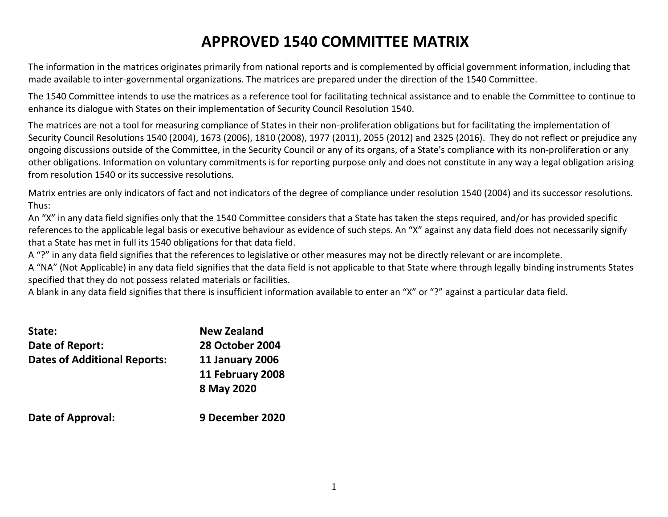# **APPROVED 1540 COMMITTEE MATRIX**

The information in the matrices originates primarily from national reports and is complemented by official government information, including that made available to inter-governmental organizations. The matrices are prepared under the direction of the 1540 Committee.

The 1540 Committee intends to use the matrices as a reference tool for facilitating technical assistance and to enable the Committee to continue to enhance its dialogue with States on their implementation of Security Council Resolution 1540.

The matrices are not a tool for measuring compliance of States in their non-proliferation obligations but for facilitating the implementation of Security Council Resolutions 1540 (2004), 1673 (2006), 1810 (2008), 1977 (2011), 2055 (2012) and 2325 (2016). They do not reflect or prejudice any ongoing discussions outside of the Committee, in the Security Council or any of its organs, of a State's compliance with its non-proliferation or any other obligations. Information on voluntary commitments is for reporting purpose only and does not constitute in any way a legal obligation arising from resolution 1540 or its successive resolutions.

Matrix entries are only indicators of fact and not indicators of the degree of compliance under resolution 1540 (2004) and its successor resolutions. Thus:

An "X" in any data field signifies only that the 1540 Committee considers that a State has taken the steps required, and/or has provided specific references to the applicable legal basis or executive behaviour as evidence of such steps. An "X" against any data field does not necessarily signify that a State has met in full its 1540 obligations for that data field.

A "?" in any data field signifies that the references to legislative or other measures may not be directly relevant or are incomplete.

A "NA" (Not Applicable) in any data field signifies that the data field is not applicable to that State where through legally binding instruments States specified that they do not possess related materials or facilities.

A blank in any data field signifies that there is insufficient information available to enter an "X" or "?" against a particular data field.

| State:                              | <b>New Zealand</b>     |
|-------------------------------------|------------------------|
| Date of Report:                     | <b>28 October 2004</b> |
| <b>Dates of Additional Reports:</b> | <b>11 January 2006</b> |
|                                     | 11 February 2008       |
|                                     | 8 May 2020             |
| Date of Approval:                   | 9 December 2020        |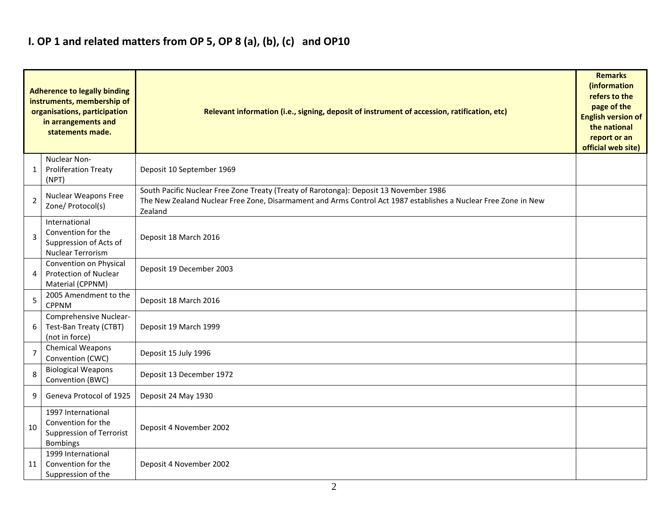## **I. OP 1 and related matters from OP 5, OP 8 (a), (b), (c) and OP10**

|                | <b>Adherence to legally binding</b><br>instruments, membership of<br>organisations, participation<br>in arrangements and<br>statements made. | Relevant information (i.e., signing, deposit of instrument of accession, ratification, etc)<br><b>English version of</b><br>official web site)                                                                       |  |  |  |  |  |  |  |  |
|----------------|----------------------------------------------------------------------------------------------------------------------------------------------|----------------------------------------------------------------------------------------------------------------------------------------------------------------------------------------------------------------------|--|--|--|--|--|--|--|--|
| $\mathbf{1}$   | Nuclear Non-<br><b>Proliferation Treaty</b><br>(NPT)                                                                                         | Deposit 10 September 1969                                                                                                                                                                                            |  |  |  |  |  |  |  |  |
| $\overline{2}$ | Nuclear Weapons Free<br>Zone/ Protocol(s)                                                                                                    | South Pacific Nuclear Free Zone Treaty (Treaty of Rarotonga): Deposit 13 November 1986<br>The New Zealand Nuclear Free Zone, Disarmament and Arms Control Act 1987 establishes a Nuclear Free Zone in New<br>Zealand |  |  |  |  |  |  |  |  |
| $\overline{3}$ | International<br>Convention for the<br>Suppression of Acts of<br><b>Nuclear Terrorism</b>                                                    | Deposit 18 March 2016                                                                                                                                                                                                |  |  |  |  |  |  |  |  |
| $\overline{a}$ | Convention on Physical<br><b>Protection of Nuclear</b><br>Material (CPPNM)                                                                   | Deposit 19 December 2003                                                                                                                                                                                             |  |  |  |  |  |  |  |  |
| 5              | 2005 Amendment to the<br><b>CPPNM</b>                                                                                                        | Deposit 18 March 2016                                                                                                                                                                                                |  |  |  |  |  |  |  |  |
| 6              | Comprehensive Nuclear-<br>Test-Ban Treaty (CTBT)<br>(not in force)                                                                           | Deposit 19 March 1999                                                                                                                                                                                                |  |  |  |  |  |  |  |  |
| $\overline{7}$ | <b>Chemical Weapons</b><br>Convention (CWC)                                                                                                  | Deposit 15 July 1996                                                                                                                                                                                                 |  |  |  |  |  |  |  |  |
| 8              | <b>Biological Weapons</b><br>Convention (BWC)                                                                                                | Deposit 13 December 1972                                                                                                                                                                                             |  |  |  |  |  |  |  |  |
| 9              | Geneva Protocol of 1925                                                                                                                      | Deposit 24 May 1930                                                                                                                                                                                                  |  |  |  |  |  |  |  |  |
| 10             | 1997 International<br>Convention for the<br><b>Suppression of Terrorist</b><br><b>Bombings</b>                                               | Deposit 4 November 2002                                                                                                                                                                                              |  |  |  |  |  |  |  |  |
| 11             | 1999 International<br>Convention for the<br>Suppression of the                                                                               | Deposit 4 November 2002                                                                                                                                                                                              |  |  |  |  |  |  |  |  |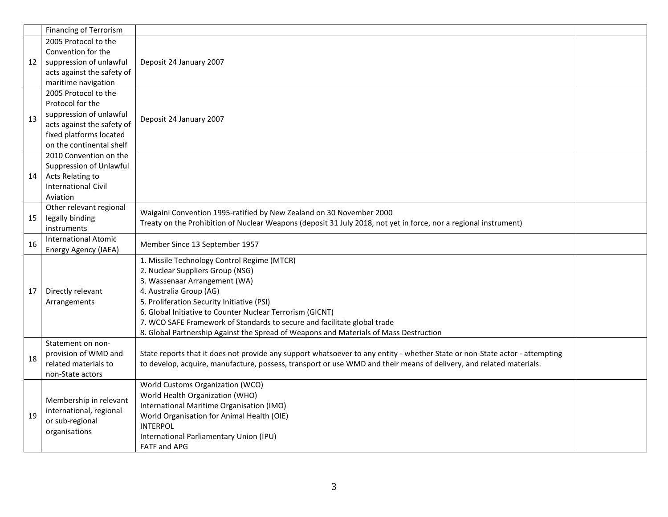|    | <b>Financing of Terrorism</b>             |                                                                                                                             |  |  |  |  |  |  |
|----|-------------------------------------------|-----------------------------------------------------------------------------------------------------------------------------|--|--|--|--|--|--|
|    | 2005 Protocol to the                      |                                                                                                                             |  |  |  |  |  |  |
|    | Convention for the                        |                                                                                                                             |  |  |  |  |  |  |
| 12 | suppression of unlawful                   | Deposit 24 January 2007                                                                                                     |  |  |  |  |  |  |
|    | acts against the safety of                |                                                                                                                             |  |  |  |  |  |  |
|    | maritime navigation                       |                                                                                                                             |  |  |  |  |  |  |
|    | 2005 Protocol to the                      |                                                                                                                             |  |  |  |  |  |  |
|    | Protocol for the                          |                                                                                                                             |  |  |  |  |  |  |
| 13 | suppression of unlawful                   | Deposit 24 January 2007                                                                                                     |  |  |  |  |  |  |
|    | acts against the safety of                |                                                                                                                             |  |  |  |  |  |  |
|    | fixed platforms located                   |                                                                                                                             |  |  |  |  |  |  |
|    | on the continental shelf                  |                                                                                                                             |  |  |  |  |  |  |
|    | 2010 Convention on the                    |                                                                                                                             |  |  |  |  |  |  |
|    | Suppression of Unlawful                   |                                                                                                                             |  |  |  |  |  |  |
| 14 | Acts Relating to                          |                                                                                                                             |  |  |  |  |  |  |
|    | <b>International Civil</b>                |                                                                                                                             |  |  |  |  |  |  |
|    | Aviation                                  |                                                                                                                             |  |  |  |  |  |  |
|    | Other relevant regional                   | Waigaini Convention 1995-ratified by New Zealand on 30 November 2000                                                        |  |  |  |  |  |  |
| 15 | legally binding                           | Treaty on the Prohibition of Nuclear Weapons (deposit 31 July 2018, not yet in force, nor a regional instrument)            |  |  |  |  |  |  |
|    | instruments                               |                                                                                                                             |  |  |  |  |  |  |
| 16 | <b>International Atomic</b>               | Member Since 13 September 1957                                                                                              |  |  |  |  |  |  |
|    | Energy Agency (IAEA)                      |                                                                                                                             |  |  |  |  |  |  |
|    |                                           | 1. Missile Technology Control Regime (MTCR)                                                                                 |  |  |  |  |  |  |
|    |                                           | 2. Nuclear Suppliers Group (NSG)                                                                                            |  |  |  |  |  |  |
|    |                                           | 3. Wassenaar Arrangement (WA)                                                                                               |  |  |  |  |  |  |
| 17 | Directly relevant                         | 4. Australia Group (AG)                                                                                                     |  |  |  |  |  |  |
|    | Arrangements                              | 5. Proliferation Security Initiative (PSI)                                                                                  |  |  |  |  |  |  |
|    |                                           | 6. Global Initiative to Counter Nuclear Terrorism (GICNT)                                                                   |  |  |  |  |  |  |
|    |                                           | 7. WCO SAFE Framework of Standards to secure and facilitate global trade                                                    |  |  |  |  |  |  |
|    |                                           | 8. Global Partnership Against the Spread of Weapons and Materials of Mass Destruction                                       |  |  |  |  |  |  |
|    | Statement on non-<br>provision of WMD and | State reports that it does not provide any support whatsoever to any entity - whether State or non-State actor - attempting |  |  |  |  |  |  |
| 18 | related materials to                      |                                                                                                                             |  |  |  |  |  |  |
|    | non-State actors                          | to develop, acquire, manufacture, possess, transport or use WMD and their means of delivery, and related materials.         |  |  |  |  |  |  |
|    |                                           | World Customs Organization (WCO)                                                                                            |  |  |  |  |  |  |
|    |                                           | World Health Organization (WHO)                                                                                             |  |  |  |  |  |  |
|    | Membership in relevant                    | International Maritime Organisation (IMO)                                                                                   |  |  |  |  |  |  |
| 19 | international, regional                   | World Organisation for Animal Health (OIE)                                                                                  |  |  |  |  |  |  |
|    | or sub-regional                           | <b>INTERPOL</b>                                                                                                             |  |  |  |  |  |  |
|    | organisations                             | International Parliamentary Union (IPU)                                                                                     |  |  |  |  |  |  |
|    |                                           | <b>FATF and APG</b>                                                                                                         |  |  |  |  |  |  |
|    |                                           |                                                                                                                             |  |  |  |  |  |  |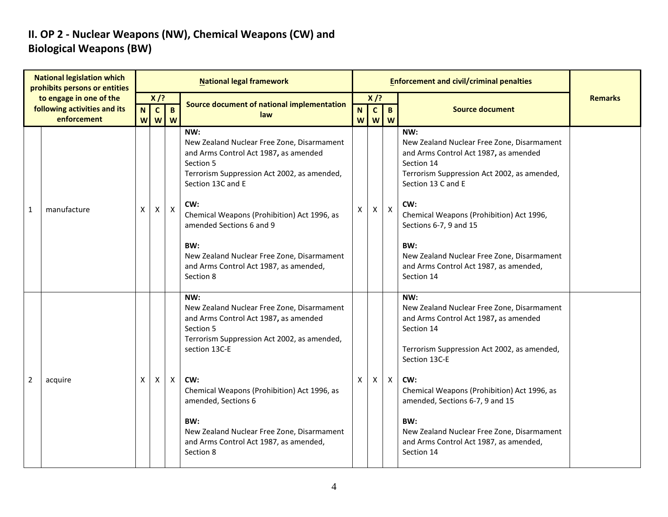### **II. OP 2 - Nuclear Weapons (NW), Chemical Weapons (CW) and Biological Weapons (BW)**

|   | <b>National legislation which</b><br>prohibits persons or entities |        |                   |                     | <b>National legal framework</b>                                                                                                                                                                                                                                                                                                                                           |              |              | <b>Enforcement and civil/criminal penalties</b> |                                                                                                                                                                                                                                                                                                                                                                                |                |
|---|--------------------------------------------------------------------|--------|-------------------|---------------------|---------------------------------------------------------------------------------------------------------------------------------------------------------------------------------------------------------------------------------------------------------------------------------------------------------------------------------------------------------------------------|--------------|--------------|-------------------------------------------------|--------------------------------------------------------------------------------------------------------------------------------------------------------------------------------------------------------------------------------------------------------------------------------------------------------------------------------------------------------------------------------|----------------|
|   | to engage in one of the                                            |        | $X$ /?            |                     | Source document of national implementation                                                                                                                                                                                                                                                                                                                                |              | $X$ /?       |                                                 |                                                                                                                                                                                                                                                                                                                                                                                | <b>Remarks</b> |
|   | following activities and its<br>enforcement                        | N<br>W | $\mathbf{C}$<br>W | $\overline{B}$<br>W | law                                                                                                                                                                                                                                                                                                                                                                       | N.<br>W      | $\mathbf{C}$ | $\mathbf{B}$<br><b>W</b> W                      | <b>Source document</b>                                                                                                                                                                                                                                                                                                                                                         |                |
| 1 | manufacture                                                        | X      | Χ                 | $\mathsf X$         | NW:<br>New Zealand Nuclear Free Zone, Disarmament<br>and Arms Control Act 1987, as amended<br>Section 5<br>Terrorism Suppression Act 2002, as amended,<br>Section 13C and E<br>CW:<br>Chemical Weapons (Prohibition) Act 1996, as<br>amended Sections 6 and 9<br>BW:<br>New Zealand Nuclear Free Zone, Disarmament<br>and Arms Control Act 1987, as amended,<br>Section 8 | X            | X            | $\boldsymbol{\mathsf{X}}$                       | NW:<br>New Zealand Nuclear Free Zone, Disarmament<br>and Arms Control Act 1987, as amended<br>Section 14<br>Terrorism Suppression Act 2002, as amended,<br>Section 13 C and E<br>CW:<br>Chemical Weapons (Prohibition) Act 1996,<br>Sections 6-7, 9 and 15<br>BW:<br>New Zealand Nuclear Free Zone, Disarmament<br>and Arms Control Act 1987, as amended,<br>Section 14        |                |
| 2 | acquire                                                            | X      | X                 | X                   | NW:<br>New Zealand Nuclear Free Zone, Disarmament<br>and Arms Control Act 1987, as amended<br>Section 5<br>Terrorism Suppression Act 2002, as amended,<br>section 13C-E<br>CW:<br>Chemical Weapons (Prohibition) Act 1996, as<br>amended, Sections 6<br>BW:<br>New Zealand Nuclear Free Zone, Disarmament<br>and Arms Control Act 1987, as amended,<br>Section 8          | $\mathsf{X}$ | X            | $\boldsymbol{X}$                                | NW:<br>New Zealand Nuclear Free Zone, Disarmament<br>and Arms Control Act 1987, as amended<br>Section 14<br>Terrorism Suppression Act 2002, as amended,<br>Section 13C-E<br>CW:<br>Chemical Weapons (Prohibition) Act 1996, as<br>amended, Sections 6-7, 9 and 15<br>BW:<br>New Zealand Nuclear Free Zone, Disarmament<br>and Arms Control Act 1987, as amended,<br>Section 14 |                |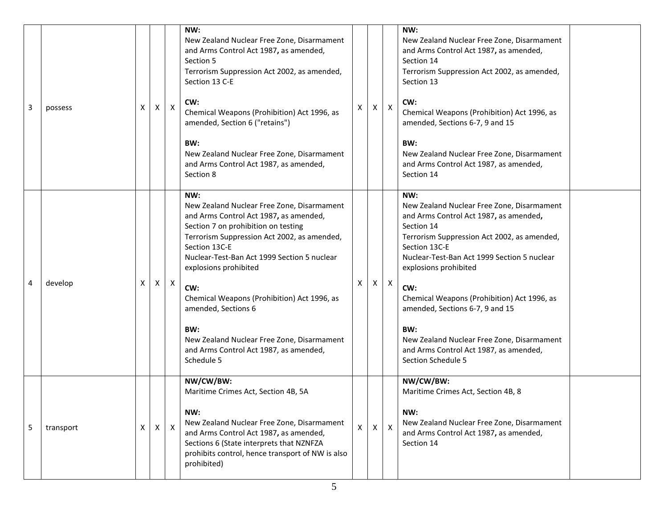| 3 | possess   | X | $\mathsf{X}$ | $\mathsf{X}$ | NW:<br>New Zealand Nuclear Free Zone, Disarmament<br>and Arms Control Act 1987, as amended,<br>Section 5<br>Terrorism Suppression Act 2002, as amended,<br>Section 13 C-E<br>CW:<br>Chemical Weapons (Prohibition) Act 1996, as<br>amended, Section 6 ("retains")<br>BW:<br>New Zealand Nuclear Free Zone, Disarmament<br>and Arms Control Act 1987, as amended,<br>Section 8                                                                                        | X | X            | $\mathsf{X}$ | NW:<br>New Zealand Nuclear Free Zone, Disarmament<br>and Arms Control Act 1987, as amended,<br>Section 14<br>Terrorism Suppression Act 2002, as amended,<br>Section 13<br>CW:<br>Chemical Weapons (Prohibition) Act 1996, as<br>amended, Sections 6-7, 9 and 15<br>BW:<br>New Zealand Nuclear Free Zone, Disarmament<br>and Arms Control Act 1987, as amended,<br>Section 14                                                                                    |  |
|---|-----------|---|--------------|--------------|----------------------------------------------------------------------------------------------------------------------------------------------------------------------------------------------------------------------------------------------------------------------------------------------------------------------------------------------------------------------------------------------------------------------------------------------------------------------|---|--------------|--------------|-----------------------------------------------------------------------------------------------------------------------------------------------------------------------------------------------------------------------------------------------------------------------------------------------------------------------------------------------------------------------------------------------------------------------------------------------------------------|--|
| 4 | develop   | X | X            | $\mathsf{X}$ | NW:<br>New Zealand Nuclear Free Zone, Disarmament<br>and Arms Control Act 1987, as amended,<br>Section 7 on prohibition on testing<br>Terrorism Suppression Act 2002, as amended,<br>Section 13C-E<br>Nuclear-Test-Ban Act 1999 Section 5 nuclear<br>explosions prohibited<br>CW:<br>Chemical Weapons (Prohibition) Act 1996, as<br>amended, Sections 6<br>BW:<br>New Zealand Nuclear Free Zone, Disarmament<br>and Arms Control Act 1987, as amended,<br>Schedule 5 | X | $\mathsf{X}$ | $\mathsf{X}$ | NW:<br>New Zealand Nuclear Free Zone, Disarmament<br>and Arms Control Act 1987, as amended,<br>Section 14<br>Terrorism Suppression Act 2002, as amended,<br>Section 13C-E<br>Nuclear-Test-Ban Act 1999 Section 5 nuclear<br>explosions prohibited<br>CW:<br>Chemical Weapons (Prohibition) Act 1996, as<br>amended, Sections 6-7, 9 and 15<br>BW:<br>New Zealand Nuclear Free Zone, Disarmament<br>and Arms Control Act 1987, as amended,<br>Section Schedule 5 |  |
| 5 | transport | X | $\mathsf{X}$ | $\mathsf{X}$ | NW/CW/BW:<br>Maritime Crimes Act, Section 4B, 5A<br>NW:<br>New Zealand Nuclear Free Zone, Disarmament<br>and Arms Control Act 1987, as amended,<br>Sections 6 (State interprets that NZNFZA<br>prohibits control, hence transport of NW is also<br>prohibited)                                                                                                                                                                                                       | X | X            | $\mathsf{X}$ | NW/CW/BW:<br>Maritime Crimes Act, Section 4B, 8<br>NW:<br>New Zealand Nuclear Free Zone, Disarmament<br>and Arms Control Act 1987, as amended,<br>Section 14                                                                                                                                                                                                                                                                                                    |  |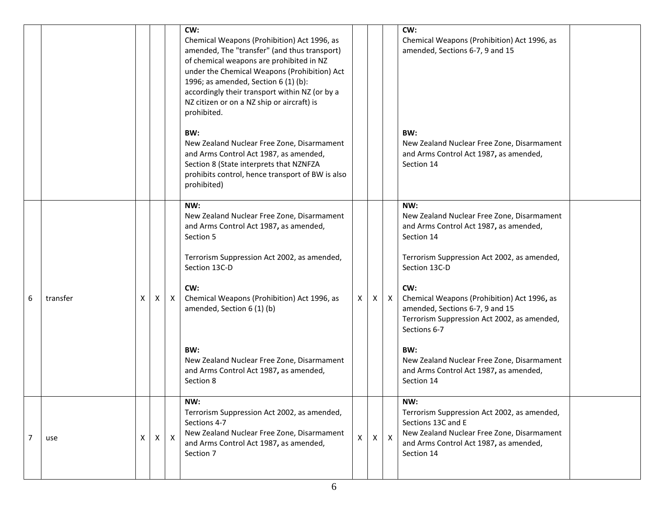|                |          |   |         |              | CW:<br>Chemical Weapons (Prohibition) Act 1996, as<br>amended, The "transfer" (and thus transport)<br>of chemical weapons are prohibited in NZ<br>under the Chemical Weapons (Prohibition) Act<br>1996; as amended, Section 6 (1) (b):<br>accordingly their transport within NZ (or by a<br>NZ citizen or on a NZ ship or aircraft) is<br>prohibited. |              |              |              | CW:<br>Chemical Weapons (Prohibition) Act 1996, as<br>amended, Sections 6-7, 9 and 15                                                                                          |  |
|----------------|----------|---|---------|--------------|-------------------------------------------------------------------------------------------------------------------------------------------------------------------------------------------------------------------------------------------------------------------------------------------------------------------------------------------------------|--------------|--------------|--------------|--------------------------------------------------------------------------------------------------------------------------------------------------------------------------------|--|
|                |          |   |         |              | BW:<br>New Zealand Nuclear Free Zone, Disarmament<br>and Arms Control Act 1987, as amended,<br>Section 8 (State interprets that NZNFZA<br>prohibits control, hence transport of BW is also<br>prohibited)                                                                                                                                             |              |              |              | BW:<br>New Zealand Nuclear Free Zone, Disarmament<br>and Arms Control Act 1987, as amended,<br>Section 14                                                                      |  |
|                |          |   |         |              | NW:<br>New Zealand Nuclear Free Zone, Disarmament<br>and Arms Control Act 1987, as amended,<br>Section 5                                                                                                                                                                                                                                              |              |              |              | NW:<br>New Zealand Nuclear Free Zone, Disarmament<br>and Arms Control Act 1987, as amended,<br>Section 14                                                                      |  |
|                |          |   |         |              | Terrorism Suppression Act 2002, as amended,<br>Section 13C-D                                                                                                                                                                                                                                                                                          |              |              |              | Terrorism Suppression Act 2002, as amended,<br>Section 13C-D                                                                                                                   |  |
| 6              | transfer | X | - X - I | $\mathsf{X}$ | CW:<br>Chemical Weapons (Prohibition) Act 1996, as<br>amended, Section 6 (1) (b)                                                                                                                                                                                                                                                                      | $\mathsf{X}$ | $\mathsf{X}$ | $\mathsf{X}$ | CW:<br>Chemical Weapons (Prohibition) Act 1996, as<br>amended, Sections 6-7, 9 and 15<br>Terrorism Suppression Act 2002, as amended,<br>Sections 6-7                           |  |
|                |          |   |         |              | BW:<br>New Zealand Nuclear Free Zone, Disarmament<br>and Arms Control Act 1987, as amended,<br>Section 8                                                                                                                                                                                                                                              |              |              |              | BW:<br>New Zealand Nuclear Free Zone, Disarmament<br>and Arms Control Act 1987, as amended,<br>Section 14                                                                      |  |
| $\overline{7}$ | use      | X |         | $X \mid X$   | NW:<br>Terrorism Suppression Act 2002, as amended,<br>Sections 4-7<br>New Zealand Nuclear Free Zone, Disarmament<br>and Arms Control Act 1987, as amended,<br>Section 7                                                                                                                                                                               | $\mathsf{X}$ | X.           | $\mathsf{X}$ | NW:<br>Terrorism Suppression Act 2002, as amended,<br>Sections 13C and E<br>New Zealand Nuclear Free Zone, Disarmament<br>and Arms Control Act 1987, as amended,<br>Section 14 |  |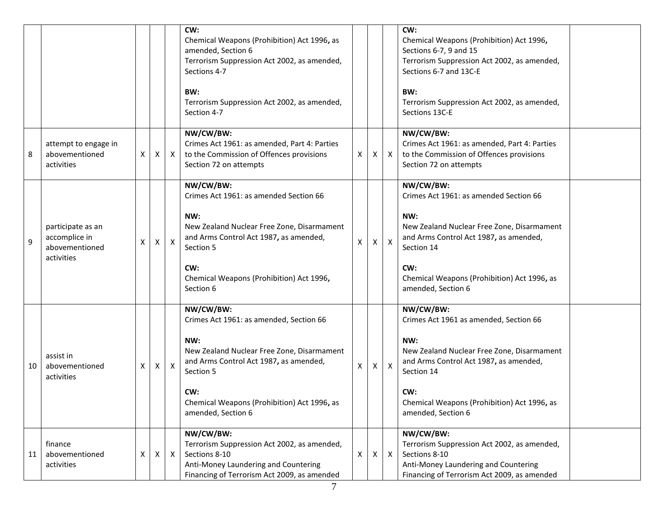|    |                                                                    |   |   |              | CW:<br>Chemical Weapons (Prohibition) Act 1996, as<br>amended, Section 6<br>Terrorism Suppression Act 2002, as amended,<br>Sections 4-7<br>BW:<br>Terrorism Suppression Act 2002, as amended,<br>Section 4-7                                 |   |              |              | CW:<br>Chemical Weapons (Prohibition) Act 1996,<br>Sections 6-7, 9 and 15<br>Terrorism Suppression Act 2002, as amended,<br>Sections 6-7 and 13C-E<br>BW:<br>Terrorism Suppression Act 2002, as amended,<br>Sections 13C-E                   |
|----|--------------------------------------------------------------------|---|---|--------------|----------------------------------------------------------------------------------------------------------------------------------------------------------------------------------------------------------------------------------------------|---|--------------|--------------|----------------------------------------------------------------------------------------------------------------------------------------------------------------------------------------------------------------------------------------------|
| 8  | attempt to engage in<br>abovementioned<br>activities               | Χ | X | $\mathsf{X}$ | NW/CW/BW:<br>Crimes Act 1961: as amended, Part 4: Parties<br>to the Commission of Offences provisions<br>Section 72 on attempts                                                                                                              | X | X            | $\mathsf{X}$ | NW/CW/BW:<br>Crimes Act 1961: as amended, Part 4: Parties<br>to the Commission of Offences provisions<br>Section 72 on attempts                                                                                                              |
| 9  | participate as an<br>accomplice in<br>abovementioned<br>activities | X | X | $\mathsf{X}$ | NW/CW/BW:<br>Crimes Act 1961: as amended Section 66<br>NW:<br>New Zealand Nuclear Free Zone, Disarmament<br>and Arms Control Act 1987, as amended,<br>Section 5<br>CW:<br>Chemical Weapons (Prohibition) Act 1996,<br>Section 6              | X | $\mathsf{X}$ | X            | NW/CW/BW:<br>Crimes Act 1961: as amended Section 66<br>NW:<br>New Zealand Nuclear Free Zone, Disarmament<br>and Arms Control Act 1987, as amended,<br>Section 14<br>CW:<br>Chemical Weapons (Prohibition) Act 1996, as<br>amended, Section 6 |
| 10 | assist in<br>abovementioned<br>activities                          | X | Χ | $\mathsf{X}$ | NW/CW/BW:<br>Crimes Act 1961: as amended, Section 66<br>NW:<br>New Zealand Nuclear Free Zone, Disarmament<br>and Arms Control Act 1987, as amended,<br>Section 5<br>CW:<br>Chemical Weapons (Prohibition) Act 1996, as<br>amended, Section 6 | X | X.           | X            | NW/CW/BW:<br>Crimes Act 1961 as amended, Section 66<br>NW:<br>New Zealand Nuclear Free Zone, Disarmament<br>and Arms Control Act 1987, as amended,<br>Section 14<br>CW:<br>Chemical Weapons (Prohibition) Act 1996, as<br>amended, Section 6 |
| 11 | finance<br>abovementioned<br>activities                            | Χ | X | X            | NW/CW/BW:<br>Terrorism Suppression Act 2002, as amended,<br>Sections 8-10<br>Anti-Money Laundering and Countering<br>Financing of Terrorism Act 2009, as amended                                                                             | X | X            | $\mathsf{X}$ | NW/CW/BW:<br>Terrorism Suppression Act 2002, as amended,<br>Sections 8-10<br>Anti-Money Laundering and Countering<br>Financing of Terrorism Act 2009, as amended                                                                             |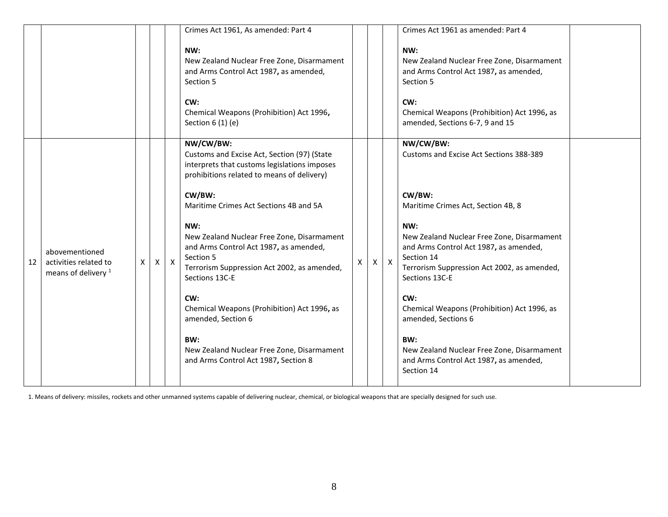|    |                                                                           |              |              |              | Crimes Act 1961, As amended: Part 4                                                                                                                                       |              |                |              | Crimes Act 1961 as amended: Part 4                                                                                                                                         |  |
|----|---------------------------------------------------------------------------|--------------|--------------|--------------|---------------------------------------------------------------------------------------------------------------------------------------------------------------------------|--------------|----------------|--------------|----------------------------------------------------------------------------------------------------------------------------------------------------------------------------|--|
|    |                                                                           |              |              |              | NW:<br>New Zealand Nuclear Free Zone, Disarmament<br>and Arms Control Act 1987, as amended,<br>Section 5<br>CW:                                                           |              |                |              | NW:<br>New Zealand Nuclear Free Zone, Disarmament<br>and Arms Control Act 1987, as amended,<br>Section 5<br>CW:                                                            |  |
|    |                                                                           |              |              |              | Chemical Weapons (Prohibition) Act 1996,<br>Section 6 (1) (e)                                                                                                             |              |                |              | Chemical Weapons (Prohibition) Act 1996, as<br>amended, Sections 6-7, 9 and 15                                                                                             |  |
|    |                                                                           |              |              |              | NW/CW/BW:<br>Customs and Excise Act, Section (97) (State<br>interprets that customs legislations imposes<br>prohibitions related to means of delivery)                    |              |                |              | NW/CW/BW:<br>Customs and Excise Act Sections 388-389                                                                                                                       |  |
|    |                                                                           |              |              |              | CW/BW:<br>Maritime Crimes Act Sections 4B and 5A                                                                                                                          |              |                |              | CW/BW:<br>Maritime Crimes Act, Section 4B, 8                                                                                                                               |  |
| 12 | abovementioned<br>activities related to<br>means of delivery <sup>1</sup> | $\mathsf{x}$ | $\mathsf{X}$ | $\mathsf{X}$ | NW:<br>New Zealand Nuclear Free Zone, Disarmament<br>and Arms Control Act 1987, as amended,<br>Section 5<br>Terrorism Suppression Act 2002, as amended,<br>Sections 13C-E | $\mathsf{x}$ | $\pmb{\times}$ | $\mathsf{X}$ | NW:<br>New Zealand Nuclear Free Zone, Disarmament<br>and Arms Control Act 1987, as amended,<br>Section 14<br>Terrorism Suppression Act 2002, as amended,<br>Sections 13C-E |  |
|    |                                                                           |              |              |              | CW:<br>Chemical Weapons (Prohibition) Act 1996, as<br>amended, Section 6                                                                                                  |              |                |              | CW:<br>Chemical Weapons (Prohibition) Act 1996, as<br>amended, Sections 6                                                                                                  |  |
|    |                                                                           |              |              |              | BW:<br>New Zealand Nuclear Free Zone, Disarmament<br>and Arms Control Act 1987, Section 8                                                                                 |              |                |              | BW:<br>New Zealand Nuclear Free Zone, Disarmament<br>and Arms Control Act 1987, as amended,<br>Section 14                                                                  |  |

1. Means of delivery: missiles, rockets and other unmanned systems capable of delivering nuclear, chemical, or biological weapons that are specially designed for such use.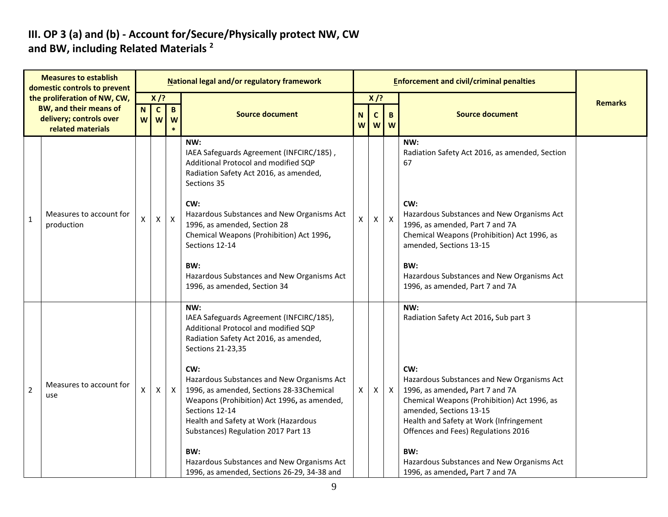#### **III. OP 3 (a) and (b) - Account for/Secure/Physically protect NW, CW and BW, including Related Materials <sup>2</sup>**

|                | <b>Measures to establish</b><br>domestic controls to prevent                                                  |   |                                    |                   | National legal and/or regulatory framework                                                                                                                                                                                                                                                                                                                                                                                                                                                                  |   |                                                       | <b>Enforcement and civil/criminal penalties</b> |                                                                                                                                                                                                                                                                                                                                                                                          |                |
|----------------|---------------------------------------------------------------------------------------------------------------|---|------------------------------------|-------------------|-------------------------------------------------------------------------------------------------------------------------------------------------------------------------------------------------------------------------------------------------------------------------------------------------------------------------------------------------------------------------------------------------------------------------------------------------------------------------------------------------------------|---|-------------------------------------------------------|-------------------------------------------------|------------------------------------------------------------------------------------------------------------------------------------------------------------------------------------------------------------------------------------------------------------------------------------------------------------------------------------------------------------------------------------------|----------------|
|                | the proliferation of NW, CW,<br><b>BW, and their means of</b><br>delivery; controls over<br>related materials |   | $X$ /?<br>$\mathbf{C}$<br>w l<br>W | $\mathbf{B}$<br>W | <b>Source document</b>                                                                                                                                                                                                                                                                                                                                                                                                                                                                                      |   | $X$ /?<br>N<br>$\mathbf c$<br>B<br>W<br><b>W</b><br>W |                                                 | <b>Source document</b>                                                                                                                                                                                                                                                                                                                                                                   | <b>Remarks</b> |
| $\mathbf{1}$   | Measures to account for<br>production                                                                         | X | $\mathsf{X}$                       | $\boldsymbol{X}$  | NW:<br>IAEA Safeguards Agreement (INFCIRC/185),<br>Additional Protocol and modified SQP<br>Radiation Safety Act 2016, as amended,<br>Sections 35<br>CW:<br>Hazardous Substances and New Organisms Act<br>1996, as amended, Section 28<br>Chemical Weapons (Prohibition) Act 1996,<br>Sections 12-14<br>BW:<br>Hazardous Substances and New Organisms Act<br>1996, as amended, Section 34                                                                                                                    | X | $\mathsf{X}$                                          | $\mathsf{X}$                                    | NW:<br>Radiation Safety Act 2016, as amended, Section<br>67<br>CW:<br>Hazardous Substances and New Organisms Act<br>1996, as amended, Part 7 and 7A<br>Chemical Weapons (Prohibition) Act 1996, as<br>amended, Sections 13-15<br>BW:<br>Hazardous Substances and New Organisms Act<br>1996, as amended, Part 7 and 7A                                                                    |                |
| $\overline{2}$ | Measures to account for<br>use                                                                                | X | $\mathsf{X}$                       | $\mathsf{X}$      | NW:<br>IAEA Safeguards Agreement (INFCIRC/185),<br>Additional Protocol and modified SQP<br>Radiation Safety Act 2016, as amended,<br>Sections 21-23,35<br>CW:<br>Hazardous Substances and New Organisms Act<br>1996, as amended, Sections 28-33Chemical<br>Weapons (Prohibition) Act 1996, as amended,<br>Sections 12-14<br>Health and Safety at Work (Hazardous<br>Substances) Regulation 2017 Part 13<br>BW:<br>Hazardous Substances and New Organisms Act<br>1996, as amended, Sections 26-29, 34-38 and | X | $\mathsf{X}$                                          | $\mathsf{X}$                                    | NW:<br>Radiation Safety Act 2016, Sub part 3<br>CW:<br>Hazardous Substances and New Organisms Act<br>1996, as amended, Part 7 and 7A<br>Chemical Weapons (Prohibition) Act 1996, as<br>amended, Sections 13-15<br>Health and Safety at Work (Infringement<br>Offences and Fees) Regulations 2016<br>BW:<br>Hazardous Substances and New Organisms Act<br>1996, as amended, Part 7 and 7A |                |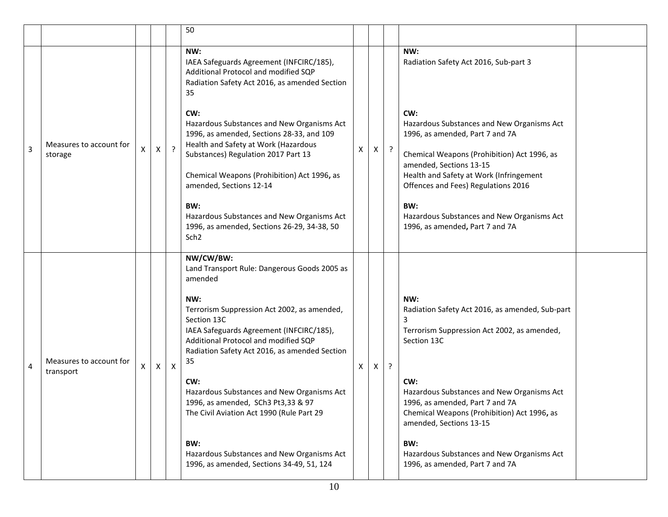|   |                                      |   |   |              | 50                                                                                                                                                                                                           |                    |   |           |                                                                                                                                                                |  |
|---|--------------------------------------|---|---|--------------|--------------------------------------------------------------------------------------------------------------------------------------------------------------------------------------------------------------|--------------------|---|-----------|----------------------------------------------------------------------------------------------------------------------------------------------------------------|--|
|   |                                      |   |   |              | NW:<br>IAEA Safeguards Agreement (INFCIRC/185),<br>Additional Protocol and modified SQP<br>Radiation Safety Act 2016, as amended Section<br>35                                                               |                    |   |           | NW:<br>Radiation Safety Act 2016, Sub-part 3                                                                                                                   |  |
|   | Measures to account for              |   |   |              | CW:<br>Hazardous Substances and New Organisms Act<br>1996, as amended, Sections 28-33, and 109<br>Health and Safety at Work (Hazardous                                                                       |                    |   |           | CW:<br>Hazardous Substances and New Organisms Act<br>1996, as amended, Part 7 and 7A                                                                           |  |
| 3 | storage                              | X | X | $\cdot$      | Substances) Regulation 2017 Part 13<br>Chemical Weapons (Prohibition) Act 1996, as<br>amended, Sections 12-14                                                                                                | $\pmb{\mathsf{X}}$ | X | $\cdot$ ? | Chemical Weapons (Prohibition) Act 1996, as<br>amended, Sections 13-15<br>Health and Safety at Work (Infringement<br>Offences and Fees) Regulations 2016       |  |
|   |                                      |   |   |              | BW:<br>Hazardous Substances and New Organisms Act<br>1996, as amended, Sections 26-29, 34-38, 50<br>Sch <sub>2</sub>                                                                                         |                    |   |           | BW:<br>Hazardous Substances and New Organisms Act<br>1996, as amended, Part 7 and 7A                                                                           |  |
|   |                                      |   |   |              | NW/CW/BW:<br>Land Transport Rule: Dangerous Goods 2005 as<br>amended                                                                                                                                         |                    |   |           |                                                                                                                                                                |  |
| 4 | Measures to account for<br>transport | X | X | $\mathsf{X}$ | NW:<br>Terrorism Suppression Act 2002, as amended,<br>Section 13C<br>IAEA Safeguards Agreement (INFCIRC/185),<br>Additional Protocol and modified SQP<br>Radiation Safety Act 2016, as amended Section<br>35 | X                  | X | $\cdot$   | NW:<br>Radiation Safety Act 2016, as amended, Sub-part<br>3<br>Terrorism Suppression Act 2002, as amended,<br>Section 13C                                      |  |
|   |                                      |   |   |              | CW:<br>Hazardous Substances and New Organisms Act<br>1996, as amended, SCh3 Pt3,33 & 97<br>The Civil Aviation Act 1990 (Rule Part 29                                                                         |                    |   |           | CW:<br>Hazardous Substances and New Organisms Act<br>1996, as amended, Part 7 and 7A<br>Chemical Weapons (Prohibition) Act 1996, as<br>amended, Sections 13-15 |  |
|   |                                      |   |   |              | BW:<br>Hazardous Substances and New Organisms Act<br>1996, as amended, Sections 34-49, 51, 124                                                                                                               |                    |   |           | BW:<br>Hazardous Substances and New Organisms Act<br>1996, as amended, Part 7 and 7A                                                                           |  |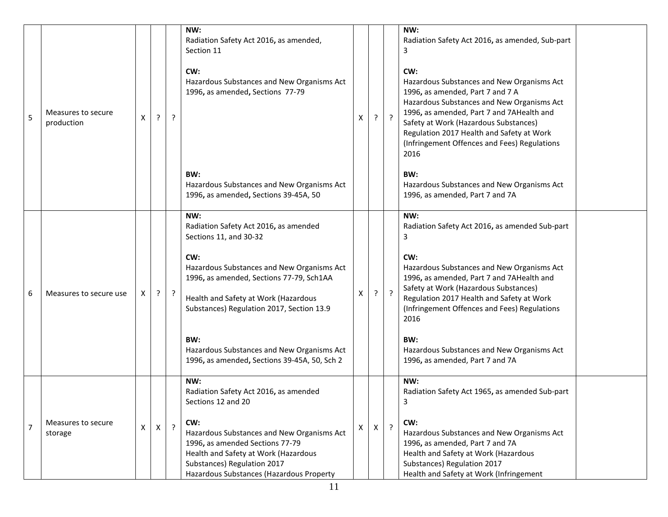| 5              | Measures to secure<br>production | Χ | ? | ?              | NW:<br>Radiation Safety Act 2016, as amended,<br>Section 11<br>CW:<br>Hazardous Substances and New Organisms Act<br>1996, as amended, Sections 77-79<br>BW:<br>Hazardous Substances and New Organisms Act<br>1996, as amended, Sections 39-45A, 50                                                                                                                | X | ? | $\cdot$   | NW:<br>Radiation Safety Act 2016, as amended, Sub-part<br>3<br>CW:<br>Hazardous Substances and New Organisms Act<br>1996, as amended, Part 7 and 7 A<br>Hazardous Substances and New Organisms Act<br>1996, as amended, Part 7 and 7AHealth and<br>Safety at Work (Hazardous Substances)<br>Regulation 2017 Health and Safety at Work<br>(Infringement Offences and Fees) Regulations<br>2016<br>BW:<br>Hazardous Substances and New Organisms Act<br>1996, as amended, Part 7 and 7A |  |
|----------------|----------------------------------|---|---|----------------|-------------------------------------------------------------------------------------------------------------------------------------------------------------------------------------------------------------------------------------------------------------------------------------------------------------------------------------------------------------------|---|---|-----------|---------------------------------------------------------------------------------------------------------------------------------------------------------------------------------------------------------------------------------------------------------------------------------------------------------------------------------------------------------------------------------------------------------------------------------------------------------------------------------------|--|
| 6              | Measures to secure use           | Χ | ? | ?              | NW:<br>Radiation Safety Act 2016, as amended<br>Sections 11, and 30-32<br>CW:<br>Hazardous Substances and New Organisms Act<br>1996, as amended, Sections 77-79, Sch1AA<br>Health and Safety at Work (Hazardous<br>Substances) Regulation 2017, Section 13.9<br>BW:<br>Hazardous Substances and New Organisms Act<br>1996, as amended, Sections 39-45A, 50, Sch 2 | X | ? | $\cdot$ ? | NW:<br>Radiation Safety Act 2016, as amended Sub-part<br>3<br>CW:<br>Hazardous Substances and New Organisms Act<br>1996, as amended, Part 7 and 7AHealth and<br>Safety at Work (Hazardous Substances)<br>Regulation 2017 Health and Safety at Work<br>(Infringement Offences and Fees) Regulations<br>2016<br>BW:<br>Hazardous Substances and New Organisms Act<br>1996, as amended, Part 7 and 7A                                                                                    |  |
| $\overline{7}$ | Measures to secure<br>storage    | X | X | $\overline{?}$ | NW:<br>Radiation Safety Act 2016, as amended<br>Sections 12 and 20<br>CW:<br>Hazardous Substances and New Organisms Act<br>1996, as amended Sections 77-79<br>Health and Safety at Work (Hazardous<br>Substances) Regulation 2017<br>Hazardous Substances (Hazardous Property                                                                                     | X | Х | $\cdot$   | NW:<br>Radiation Safety Act 1965, as amended Sub-part<br>3<br>CW:<br>Hazardous Substances and New Organisms Act<br>1996, as amended, Part 7 and 7A<br>Health and Safety at Work (Hazardous<br>Substances) Regulation 2017<br>Health and Safety at Work (Infringement                                                                                                                                                                                                                  |  |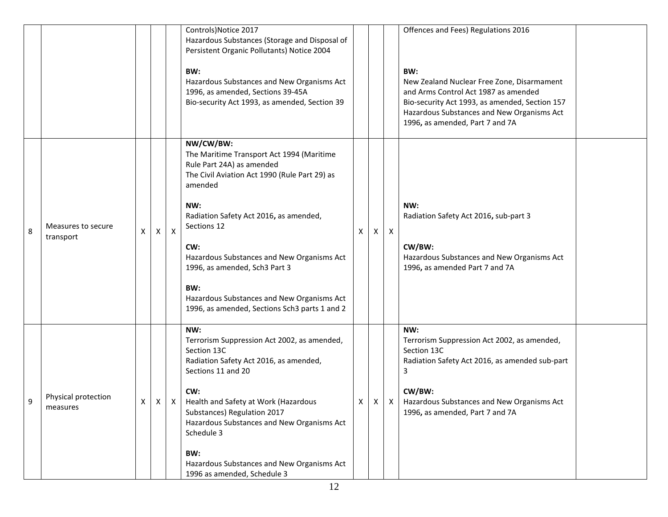|   |                                 |   |              |              | Controls) Notice 2017<br>Hazardous Substances (Storage and Disposal of<br>Persistent Organic Pollutants) Notice 2004<br>BW:<br>Hazardous Substances and New Organisms Act<br>1996, as amended, Sections 39-45A<br>Bio-security Act 1993, as amended, Section 39                                                                                                                                             |   |   |              | Offences and Fees) Regulations 2016<br>BW:<br>New Zealand Nuclear Free Zone, Disarmament<br>and Arms Control Act 1987 as amended<br>Bio-security Act 1993, as amended, Section 157<br>Hazardous Substances and New Organisms Act<br>1996, as amended, Part 7 and 7A |
|---|---------------------------------|---|--------------|--------------|-------------------------------------------------------------------------------------------------------------------------------------------------------------------------------------------------------------------------------------------------------------------------------------------------------------------------------------------------------------------------------------------------------------|---|---|--------------|---------------------------------------------------------------------------------------------------------------------------------------------------------------------------------------------------------------------------------------------------------------------|
| 8 | Measures to secure<br>transport | X | X            | $\mathsf{X}$ | NW/CW/BW:<br>The Maritime Transport Act 1994 (Maritime<br>Rule Part 24A) as amended<br>The Civil Aviation Act 1990 (Rule Part 29) as<br>amended<br>NW:<br>Radiation Safety Act 2016, as amended,<br>Sections 12<br>CW:<br>Hazardous Substances and New Organisms Act<br>1996, as amended, Sch3 Part 3<br>BW:<br>Hazardous Substances and New Organisms Act<br>1996, as amended, Sections Sch3 parts 1 and 2 | X | X | $\mathsf{X}$ | NW:<br>Radiation Safety Act 2016, sub-part 3<br>CW/BW:<br>Hazardous Substances and New Organisms Act<br>1996, as amended Part 7 and 7A                                                                                                                              |
| 9 | Physical protection<br>measures | X | $\mathsf{X}$ |              | NW:<br>Terrorism Suppression Act 2002, as amended,<br>Section 13C<br>Radiation Safety Act 2016, as amended,<br>Sections 11 and 20<br>CW:<br>X   Health and Safety at Work (Hazardous<br>Substances) Regulation 2017<br>Hazardous Substances and New Organisms Act<br>Schedule 3<br>BW:<br>Hazardous Substances and New Organisms Act<br>1996 as amended, Schedule 3                                         | X |   |              | NW:<br>Terrorism Suppression Act 2002, as amended,<br>Section 13C<br>Radiation Safety Act 2016, as amended sub-part<br>3<br>CW/BW:<br>$\vert x \vert x$   Hazardous Substances and New Organisms Act<br>1996, as amended, Part 7 and 7A                             |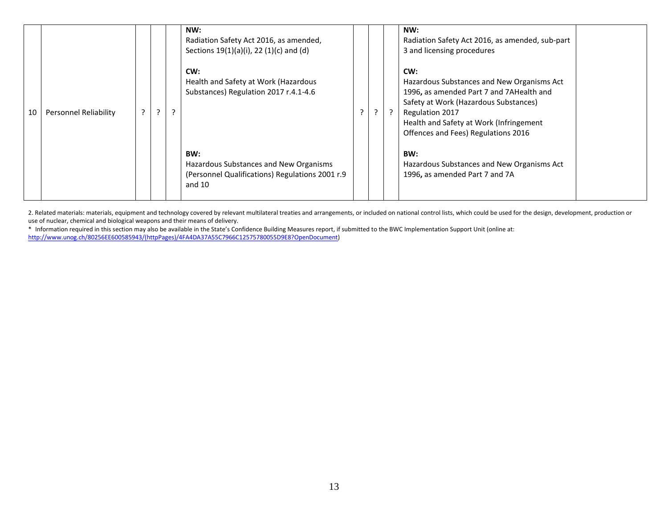| 10 | <b>Personnel Reliability</b> | $\mathcal{L}$ | C. | NW:<br>Radiation Safety Act 2016, as amended,<br>Sections 19(1)(a)(i), 22 (1)(c) and (d)<br>CW:<br>Health and Safety at Work (Hazardous<br>Substances) Regulation 2017 r.4.1-4.6 |  | NW:<br>Radiation Safety Act 2016, as amended, sub-part<br>3 and licensing procedures<br>CW:<br>Hazardous Substances and New Organisms Act<br>1996, as amended Part 7 and 7AHealth and<br>Safety at Work (Hazardous Substances)<br>Regulation 2017<br>Health and Safety at Work (Infringement<br>Offences and Fees) Regulations 2016 |  |
|----|------------------------------|---------------|----|----------------------------------------------------------------------------------------------------------------------------------------------------------------------------------|--|-------------------------------------------------------------------------------------------------------------------------------------------------------------------------------------------------------------------------------------------------------------------------------------------------------------------------------------|--|
|    |                              |               |    | BW:<br>Hazardous Substances and New Organisms<br>(Personnel Qualifications) Regulations 2001 r.9<br>and 10                                                                       |  | BW:<br>Hazardous Substances and New Organisms Act<br>1996, as amended Part 7 and 7A                                                                                                                                                                                                                                                 |  |

2. Related materials: materials, equipment and technology covered by relevant multilateral treaties and arrangements, or included on national control lists, which could be used for the design, development, production or use of nuclear, chemical and biological weapons and their means of delivery.

\* Information required in this section may also be available in the State's Confidence Building Measures report, if submitted to the BWC Implementation Support Unit (online at: [http://www.unog.ch/80256EE600585943/\(httpPages\)/4FA4DA37A55C7966C12575780055D9E8?OpenDocument\)](http://www.unog.ch/80256EE600585943/(httpPages)/4FA4DA37A55C7966C12575780055D9E8?OpenDocument)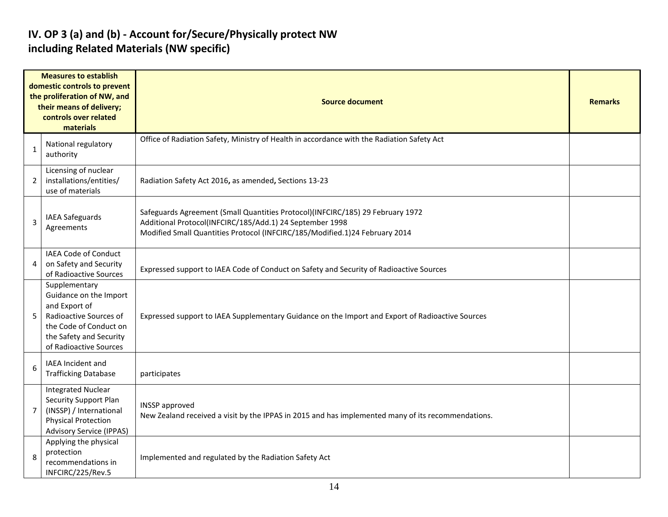#### **IV. OP 3 (a) and (b) - Account for/Secure/Physically protect NW including Related Materials (NW specific)**

| <b>Measures to establish</b><br>domestic controls to prevent<br>the proliferation of NW, and<br>their means of delivery;<br>controls over related<br>materials |                                                                                                                                                                   | <b>Source document</b>                                                                                                                                                                                                    |  |  |  |  |  |
|----------------------------------------------------------------------------------------------------------------------------------------------------------------|-------------------------------------------------------------------------------------------------------------------------------------------------------------------|---------------------------------------------------------------------------------------------------------------------------------------------------------------------------------------------------------------------------|--|--|--|--|--|
| $\mathbf{1}$                                                                                                                                                   | National regulatory<br>authority                                                                                                                                  | Office of Radiation Safety, Ministry of Health in accordance with the Radiation Safety Act                                                                                                                                |  |  |  |  |  |
| $\overline{2}$                                                                                                                                                 | Licensing of nuclear<br>installations/entities/<br>use of materials                                                                                               | Radiation Safety Act 2016, as amended, Sections 13-23                                                                                                                                                                     |  |  |  |  |  |
| 3                                                                                                                                                              | <b>IAEA Safeguards</b><br>Agreements                                                                                                                              | Safeguards Agreement (Small Quantities Protocol)(INFCIRC/185) 29 February 1972<br>Additional Protocol(INFCIRC/185/Add.1) 24 September 1998<br>Modified Small Quantities Protocol (INFCIRC/185/Modified.1)24 February 2014 |  |  |  |  |  |
| 4                                                                                                                                                              | <b>IAEA Code of Conduct</b><br>on Safety and Security<br>of Radioactive Sources                                                                                   | Expressed support to IAEA Code of Conduct on Safety and Security of Radioactive Sources                                                                                                                                   |  |  |  |  |  |
| 5                                                                                                                                                              | Supplementary<br>Guidance on the Import<br>and Export of<br>Radioactive Sources of<br>the Code of Conduct on<br>the Safety and Security<br>of Radioactive Sources | Expressed support to IAEA Supplementary Guidance on the Import and Export of Radioactive Sources                                                                                                                          |  |  |  |  |  |
| 6                                                                                                                                                              | IAEA Incident and<br><b>Trafficking Database</b>                                                                                                                  | participates                                                                                                                                                                                                              |  |  |  |  |  |
| 7                                                                                                                                                              | <b>Integrated Nuclear</b><br><b>Security Support Plan</b><br>(INSSP) / International<br><b>Physical Protection</b><br><b>Advisory Service (IPPAS)</b>             | <b>INSSP</b> approved<br>New Zealand received a visit by the IPPAS in 2015 and has implemented many of its recommendations.                                                                                               |  |  |  |  |  |
| 8                                                                                                                                                              | Applying the physical<br>protection<br>recommendations in<br>INFCIRC/225/Rev.5                                                                                    | Implemented and regulated by the Radiation Safety Act                                                                                                                                                                     |  |  |  |  |  |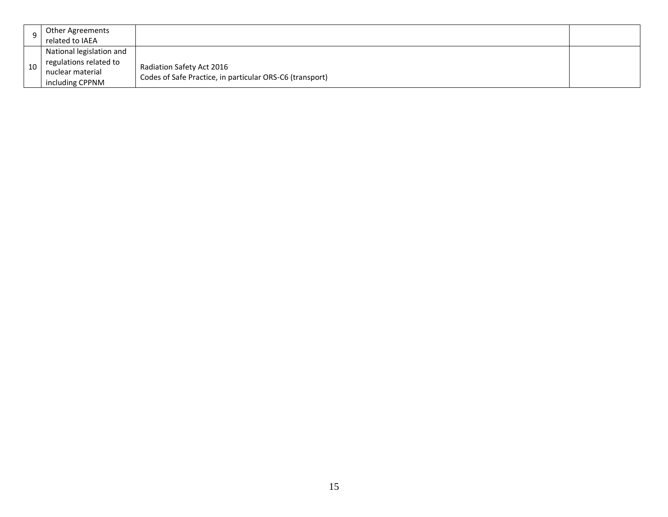| Other Agreements<br>related to IAEA                                                       |                                                                                       |  |
|-------------------------------------------------------------------------------------------|---------------------------------------------------------------------------------------|--|
| National legislation and<br>regulations related to<br>nuclear material<br>including CPPNM | Radiation Safety Act 2016<br>Codes of Safe Practice, in particular ORS-C6 (transport) |  |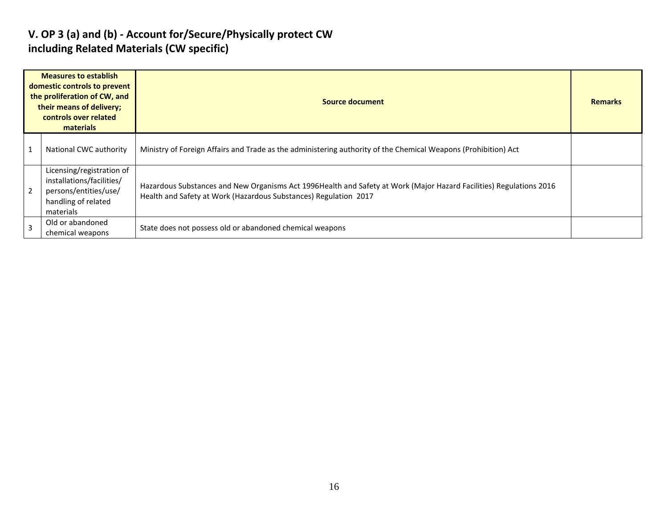#### **V. OP 3 (a) and (b) - Account for/Secure/Physically protect CW including Related Materials (CW specific)**

| <b>Measures to establish</b><br>domestic controls to prevent<br>the proliferation of CW, and<br>their means of delivery;<br>controls over related<br>materials |                                                                                                                     | Source document                                                                                                                                                                          | <b>Remarks</b> |
|----------------------------------------------------------------------------------------------------------------------------------------------------------------|---------------------------------------------------------------------------------------------------------------------|------------------------------------------------------------------------------------------------------------------------------------------------------------------------------------------|----------------|
|                                                                                                                                                                | National CWC authority                                                                                              | Ministry of Foreign Affairs and Trade as the administering authority of the Chemical Weapons (Prohibition) Act                                                                           |                |
| $\overline{2}$                                                                                                                                                 | Licensing/registration of<br>installations/facilities/<br>persons/entities/use/<br>handling of related<br>materials | Hazardous Substances and New Organisms Act 1996 Health and Safety at Work (Major Hazard Facilities) Regulations 2016<br>Health and Safety at Work (Hazardous Substances) Regulation 2017 |                |
| 3                                                                                                                                                              | Old or abandoned<br>chemical weapons                                                                                | State does not possess old or abandoned chemical weapons                                                                                                                                 |                |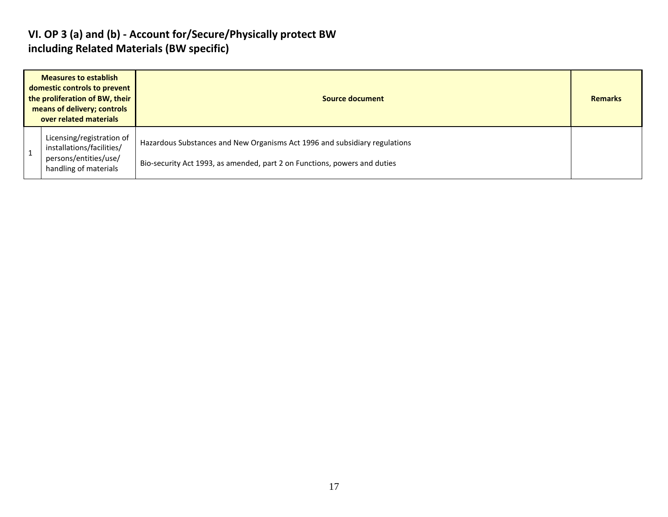#### **VI. OP 3 (a) and (b) - Account for/Secure/Physically protect BW including Related Materials (BW specific)**

| <b>Measures to establish</b><br>domestic controls to prevent<br>the proliferation of BW, their<br>means of delivery; controls<br>over related materials |                                                                                                          | Source document                                                                                                                                         |  |
|---------------------------------------------------------------------------------------------------------------------------------------------------------|----------------------------------------------------------------------------------------------------------|---------------------------------------------------------------------------------------------------------------------------------------------------------|--|
|                                                                                                                                                         | Licensing/registration of<br>installations/facilities/<br>persons/entities/use/<br>handling of materials | Hazardous Substances and New Organisms Act 1996 and subsidiary regulations<br>Bio-security Act 1993, as amended, part 2 on Functions, powers and duties |  |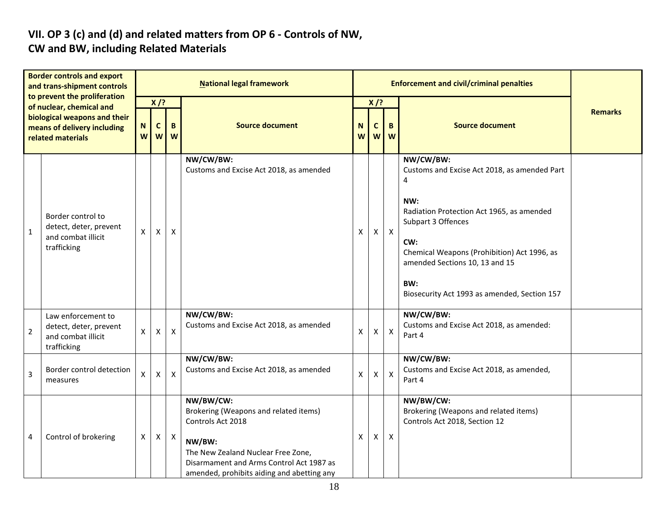#### **VII. OP 3 (c) and (d) and related matters from OP 6 - Controls of NW, CW and BW, including Related Materials**

| <b>Border controls and export</b><br>and trans-shipment controls<br>to prevent the proliferation<br>of nuclear, chemical and<br>biological weapons and their<br>means of delivery including<br>related materials |                                                                                   | <b>National legal framework</b> |                                       |                           |                                                                                                                                                                                                                   |        |                  | <b>Enforcement and civil/criminal penalties</b> |                                                                                                                                                                                                                                                                                         |                |
|------------------------------------------------------------------------------------------------------------------------------------------------------------------------------------------------------------------|-----------------------------------------------------------------------------------|---------------------------------|---------------------------------------|---------------------------|-------------------------------------------------------------------------------------------------------------------------------------------------------------------------------------------------------------------|--------|------------------|-------------------------------------------------|-----------------------------------------------------------------------------------------------------------------------------------------------------------------------------------------------------------------------------------------------------------------------------------------|----------------|
|                                                                                                                                                                                                                  |                                                                                   | N.<br>W                         | $X$ /?<br>$\mathbf{C}$<br>B<br>W<br>W |                           | <b>Source document</b>                                                                                                                                                                                            | N<br>W | $X$ /?<br>C<br>W | B<br>W                                          | <b>Source document</b>                                                                                                                                                                                                                                                                  | <b>Remarks</b> |
| $\mathbf{1}$                                                                                                                                                                                                     | Border control to<br>detect, deter, prevent<br>and combat illicit<br>trafficking  | $\mathsf{X}$                    | $\boldsymbol{\mathsf{X}}$             | X                         | NW/CW/BW:<br>Customs and Excise Act 2018, as amended                                                                                                                                                              | X      | X                | $\mathsf{X}$                                    | NW/CW/BW:<br>Customs and Excise Act 2018, as amended Part<br>4<br>NW:<br>Radiation Protection Act 1965, as amended<br>Subpart 3 Offences<br>CW:<br>Chemical Weapons (Prohibition) Act 1996, as<br>amended Sections 10, 13 and 15<br>BW:<br>Biosecurity Act 1993 as amended, Section 157 |                |
| $\overline{c}$                                                                                                                                                                                                   | Law enforcement to<br>detect, deter, prevent<br>and combat illicit<br>trafficking | X.                              | X                                     | $\pmb{\times}$            | NW/CW/BW:<br>Customs and Excise Act 2018, as amended                                                                                                                                                              | X      | X                | $\boldsymbol{\mathsf{X}}$                       | NW/CW/BW:<br>Customs and Excise Act 2018, as amended:<br>Part 4                                                                                                                                                                                                                         |                |
| 3                                                                                                                                                                                                                | Border control detection<br>measures                                              | X.                              | X                                     | $\boldsymbol{\mathsf{X}}$ | NW/CW/BW:<br>Customs and Excise Act 2018, as amended                                                                                                                                                              | X      | X                | $\boldsymbol{\mathsf{X}}$                       | NW/CW/BW:<br>Customs and Excise Act 2018, as amended,<br>Part 4                                                                                                                                                                                                                         |                |
| 4                                                                                                                                                                                                                | Control of brokering                                                              | X                               | Χ                                     | $\mathsf{X}$              | NW/BW/CW:<br>Brokering (Weapons and related items)<br>Controls Act 2018<br>NW/BW:<br>The New Zealand Nuclear Free Zone,<br>Disarmament and Arms Control Act 1987 as<br>amended, prohibits aiding and abetting any | X      | X                | $\mathsf{X}$                                    | NW/BW/CW:<br>Brokering (Weapons and related items)<br>Controls Act 2018, Section 12                                                                                                                                                                                                     |                |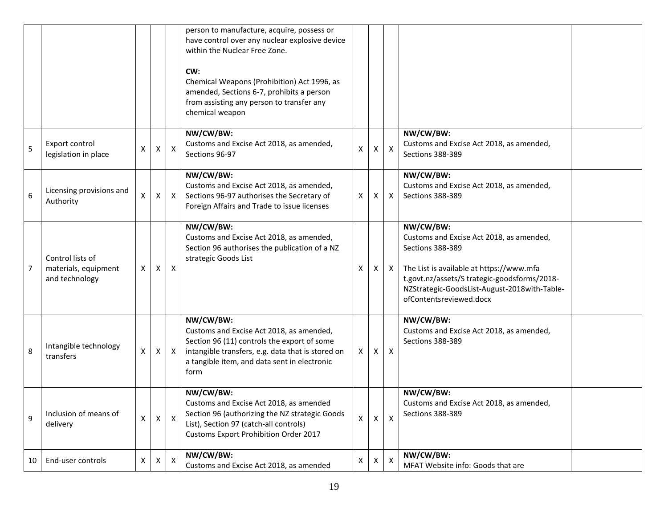|    |                                                            |                    |   |              | person to manufacture, acquire, possess or<br>have control over any nuclear explosive device<br>within the Nuclear Free Zone.<br>CW:<br>Chemical Weapons (Prohibition) Act 1996, as<br>amended, Sections 6-7, prohibits a person<br>from assisting any person to transfer any<br>chemical weapon |                           |                |                           |                                                                                                                                                                                                                                                  |  |
|----|------------------------------------------------------------|--------------------|---|--------------|--------------------------------------------------------------------------------------------------------------------------------------------------------------------------------------------------------------------------------------------------------------------------------------------------|---------------------------|----------------|---------------------------|--------------------------------------------------------------------------------------------------------------------------------------------------------------------------------------------------------------------------------------------------|--|
| 5  | Export control<br>legislation in place                     | Χ                  | X | $\mathsf{X}$ | NW/CW/BW:<br>Customs and Excise Act 2018, as amended,<br>Sections 96-97                                                                                                                                                                                                                          | $\boldsymbol{\mathsf{X}}$ | $\mathsf{X}^-$ | $\boldsymbol{\mathsf{X}}$ | NW/CW/BW:<br>Customs and Excise Act 2018, as amended,<br>Sections 388-389                                                                                                                                                                        |  |
| 6  | Licensing provisions and<br>Authority                      | Χ                  | X | $\mathsf{X}$ | NW/CW/BW:<br>Customs and Excise Act 2018, as amended,<br>Sections 96-97 authorises the Secretary of<br>Foreign Affairs and Trade to issue licenses                                                                                                                                               | $\boldsymbol{\mathsf{X}}$ | X              | $\boldsymbol{\mathsf{X}}$ | NW/CW/BW:<br>Customs and Excise Act 2018, as amended,<br>Sections 388-389                                                                                                                                                                        |  |
| 7  | Control lists of<br>materials, equipment<br>and technology | X                  | Χ | X            | NW/CW/BW:<br>Customs and Excise Act 2018, as amended,<br>Section 96 authorises the publication of a NZ<br>strategic Goods List                                                                                                                                                                   | X                         | X.             | X                         | NW/CW/BW:<br>Customs and Excise Act 2018, as amended,<br>Sections 388-389<br>The List is available at https://www.mfa<br>t.govt.nz/assets/S trategic-goodsforms/2018-<br>NZStrategic-GoodsList-August-2018with-Table-<br>ofContentsreviewed.docx |  |
| 8  | Intangible technology<br>transfers                         | $\mathsf{X}$       | X | $\mathsf{X}$ | NW/CW/BW:<br>Customs and Excise Act 2018, as amended,<br>Section 96 (11) controls the export of some<br>intangible transfers, e.g. data that is stored on<br>a tangible item, and data sent in electronic<br>form                                                                                | X                         | X.             | $\mathsf{X}$              | NW/CW/BW:<br>Customs and Excise Act 2018, as amended,<br>Sections 388-389                                                                                                                                                                        |  |
| 9  | Inclusion of means of<br>delivery                          | $\pmb{\mathsf{X}}$ | X | $\mathsf{X}$ | NW/CW/BW:<br>Customs and Excise Act 2018, as amended<br>Section 96 (authorizing the NZ strategic Goods<br>List), Section 97 (catch-all controls)<br><b>Customs Export Prohibition Order 2017</b>                                                                                                 | $\mathsf{\overline{X}}$   | X              | $\pmb{\mathsf{X}}$        | NW/CW/BW:<br>Customs and Excise Act 2018, as amended,<br>Sections 388-389                                                                                                                                                                        |  |
| 10 | End-user controls                                          | X                  | х | Χ            | NW/CW/BW:<br>Customs and Excise Act 2018, as amended                                                                                                                                                                                                                                             | Χ                         | X              | X                         | NW/CW/BW:<br>MFAT Website info: Goods that are                                                                                                                                                                                                   |  |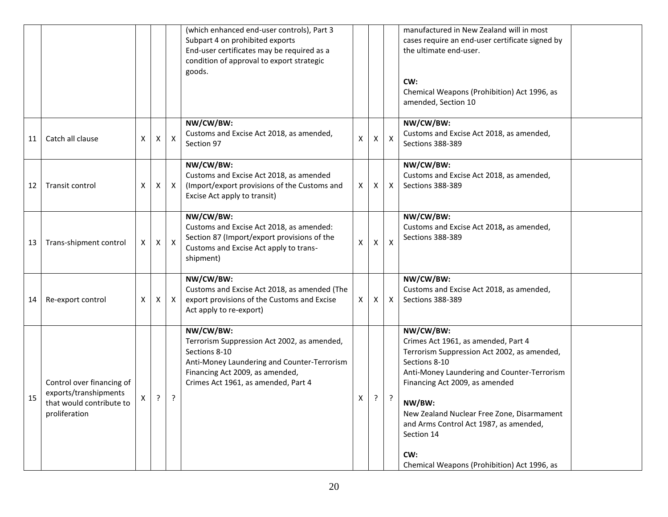|    |                                                                                                 |   |   |                           | (which enhanced end-user controls), Part 3<br>Subpart 4 on prohibited exports                                                                                                                      |              |   |                           | manufactured in New Zealand will in most<br>cases require an end-user certificate signed by                                                                                                                                                                                                                                                                             |  |
|----|-------------------------------------------------------------------------------------------------|---|---|---------------------------|----------------------------------------------------------------------------------------------------------------------------------------------------------------------------------------------------|--------------|---|---------------------------|-------------------------------------------------------------------------------------------------------------------------------------------------------------------------------------------------------------------------------------------------------------------------------------------------------------------------------------------------------------------------|--|
|    |                                                                                                 |   |   |                           | End-user certificates may be required as a<br>condition of approval to export strategic                                                                                                            |              |   |                           | the ultimate end-user.                                                                                                                                                                                                                                                                                                                                                  |  |
|    |                                                                                                 |   |   |                           | goods.                                                                                                                                                                                             |              |   |                           | CW:<br>Chemical Weapons (Prohibition) Act 1996, as<br>amended, Section 10                                                                                                                                                                                                                                                                                               |  |
| 11 | Catch all clause                                                                                | x | х | X                         | NW/CW/BW:<br>Customs and Excise Act 2018, as amended,<br>Section 97                                                                                                                                | X            | X | $\boldsymbol{\mathsf{X}}$ | NW/CW/BW:<br>Customs and Excise Act 2018, as amended,<br>Sections 388-389                                                                                                                                                                                                                                                                                               |  |
| 12 | Transit control                                                                                 | X | X | $\mathsf{X}$              | NW/CW/BW:<br>Customs and Excise Act 2018, as amended<br>(Import/export provisions of the Customs and<br>Excise Act apply to transit)                                                               | X            | Χ | X                         | NW/CW/BW:<br>Customs and Excise Act 2018, as amended,<br>Sections 388-389                                                                                                                                                                                                                                                                                               |  |
| 13 | Trans-shipment control                                                                          | X | X | $\boldsymbol{\mathsf{X}}$ | NW/CW/BW:<br>Customs and Excise Act 2018, as amended:<br>Section 87 (Import/export provisions of the<br>Customs and Excise Act apply to trans-<br>shipment)                                        | $\mathsf{x}$ | X | $\boldsymbol{\mathsf{X}}$ | NW/CW/BW:<br>Customs and Excise Act 2018, as amended,<br>Sections 388-389                                                                                                                                                                                                                                                                                               |  |
| 14 | Re-export control                                                                               | X | X | $\mathsf{X}$              | NW/CW/BW:<br>Customs and Excise Act 2018, as amended (The<br>export provisions of the Customs and Excise<br>Act apply to re-export)                                                                | X            | X | $\boldsymbol{\mathsf{X}}$ | NW/CW/BW:<br>Customs and Excise Act 2018, as amended,<br>Sections 388-389                                                                                                                                                                                                                                                                                               |  |
| 15 | Control over financing of<br>exports/transhipments<br>that would contribute to<br>proliferation | X | ? | $\cdot$                   | NW/CW/BW:<br>Terrorism Suppression Act 2002, as amended,<br>Sections 8-10<br>Anti-Money Laundering and Counter-Terrorism<br>Financing Act 2009, as amended,<br>Crimes Act 1961, as amended, Part 4 | х            | ? | ?                         | NW/CW/BW:<br>Crimes Act 1961, as amended, Part 4<br>Terrorism Suppression Act 2002, as amended,<br>Sections 8-10<br>Anti-Money Laundering and Counter-Terrorism<br>Financing Act 2009, as amended<br>NW/BW:<br>New Zealand Nuclear Free Zone, Disarmament<br>and Arms Control Act 1987, as amended,<br>Section 14<br>CW:<br>Chemical Weapons (Prohibition) Act 1996, as |  |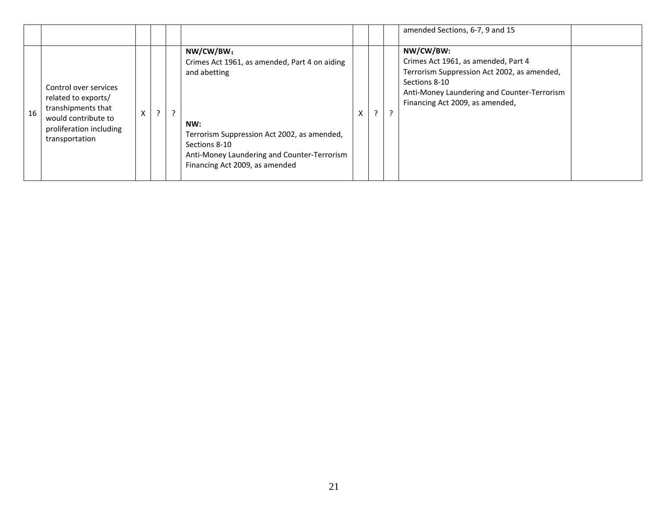|    |                                                                                                                                        |    |                |                                                                                                                                                                                                                                    |  | amended Sections, 6-7, 9 and 15                                                                                                                                                                    |  |
|----|----------------------------------------------------------------------------------------------------------------------------------------|----|----------------|------------------------------------------------------------------------------------------------------------------------------------------------------------------------------------------------------------------------------------|--|----------------------------------------------------------------------------------------------------------------------------------------------------------------------------------------------------|--|
| 16 | Control over services<br>related to exports/<br>transhipments that<br>would contribute to<br>proliferation including<br>transportation | C. | $\overline{2}$ | NW/CW/BW:<br>Crimes Act 1961, as amended, Part 4 on aiding<br>and abetting<br>NW:<br>Terrorism Suppression Act 2002, as amended,<br>Sections 8-10<br>Anti-Money Laundering and Counter-Terrorism<br>Financing Act 2009, as amended |  | NW/CW/BW:<br>Crimes Act 1961, as amended, Part 4<br>Terrorism Suppression Act 2002, as amended,<br>Sections 8-10<br>Anti-Money Laundering and Counter-Terrorism<br>Financing Act 2009, as amended, |  |